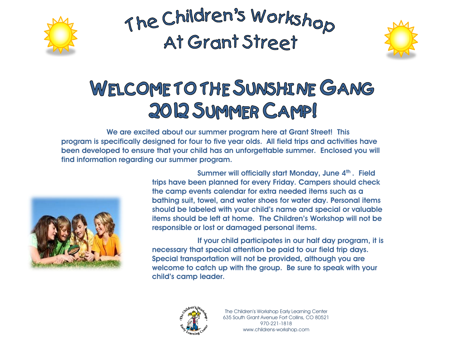



### WELCOME TO THE SUNSHINE GANG 2012 SUMMER CAMP!

**We are excited about our summer program here at Grant Street! This program is specifically designed for four to five year olds. All field trips and activities have been developed to ensure that your child has an unforgettable summer. Enclosed you will find information regarding our summer program.**



**Summer will officially start Monday, June 4th . Field trips have been planned for every Friday. Campers should check the camp events calendar for extra needed items such as a bathing suit, towel, and water shoes for water day. Personal items should be labeled with your child's name and special or valuable items should be left at home. The Children's Workshop will not be responsible or lost or damaged personal items.** 

**If your child participates in our half day program, it is necessary that special attention be paid to our field trip days. Special transportation will not be provided, although you are welcome to catch up with the group. Be sure to speak with your child's camp leader.**

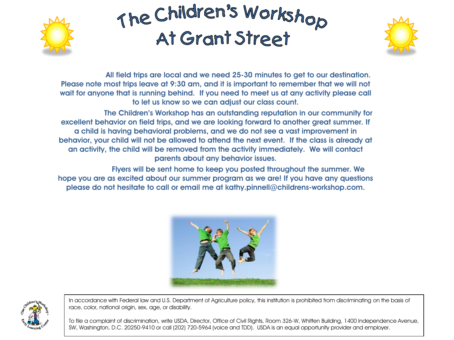



**All field trips are local and we need 25-30 minutes to get to our destination. Please note most trips leave at 9:30 am, and it is important to remember that we will not wait for anyone that is running behind. If you need to meet us at any activity please call to let us know so we can adjust our class count.**

**The Children's Workshop has an outstanding reputation in our community for excellent behavior on field trips, and we are looking forward to another great summer. If a child is having behavioral problems, and we do not see a vast improvement in behavior, your child will not be allowed to attend the next event. If the class is already at an activity, the child will be removed from the activity immediately. We will contact parents about any behavior issues.**

**Flyers will be sent home to keep you posted throughout the summer. We hope you are as excited about our summer program as we are! If you have any questions please do not hesitate to call or email me at kathy.pinnell@childrens-workshop.com.**





In accordance with Federal law and U.S. Department of Agriculture policy, this institution is prohibited from discriminating on the basis of race, color, national origin, sex, age, or disability.

To file a complaint of discrimination, write USDA, Director, Office of Civil Rights, Room 326-W, Whitten Building, 1400 Independence Avenue, SW, Washington, D.C. 20250-9410 or call (202) 720-5964 (voice and TDD). USDA is an equal opportunity provider and employer.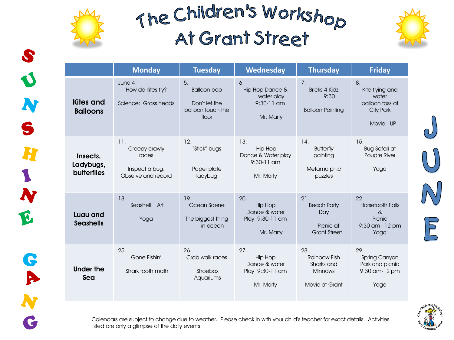



G

|                                             | <b>Monday</b>                                                         | <b>Tuesday</b>                                                          | <b>Wednesday</b>                                                       | <b>Thursday</b>                                                              | <b>Friday</b>                                                                      |
|---------------------------------------------|-----------------------------------------------------------------------|-------------------------------------------------------------------------|------------------------------------------------------------------------|------------------------------------------------------------------------------|------------------------------------------------------------------------------------|
| <b>Kites and</b><br><b>Balloons</b>         | June 4<br>How do kites fly?<br>Science: Grass heads                   | 5.<br><b>Balloon bop</b><br>Don't let the<br>balloon touch the<br>floor | 6.<br>Hip Hop Dance &<br>water play<br>$9:30-11$ am<br>Mr. Marty       | 7 <sub>1</sub><br><b>Bricks 4 Kidz</b><br>9:30<br><b>Balloon Painting</b>    | 8.<br>Kite flying and<br>water<br>balloon toss at<br>City Park<br>Movie: UP        |
| Insects,<br>Ladybugs,<br><b>butterflies</b> | 11.<br>Creepy crawly<br>races<br>Inspect a bug.<br>Observe and record | 12.<br>"Stick" bugs<br>Paper plate<br>ladybug                           | 13.<br><b>Hip Hop</b><br>Dance & Water play<br>9:30-11 am<br>Mr. Marty | 14.<br><b>Butterfly</b><br>painting<br>Metamorphic<br>puzzles                | 15.<br><b>Bug Safari at</b><br><b>Poudre River</b><br>Yoga                         |
| Luau and<br><b>Seashells</b>                | 18.<br>Seashell<br>Art<br>Yoga                                        | 19.<br>Ocean Scene<br>The biggest thing<br>in ocean                     | 20.<br><b>Hip Hop</b><br>Dance & water<br>Play 9:30-11 am<br>Mr. Marty | 21.<br><b>Beach Party</b><br>Day<br>Picnic at<br><b>Grant Street</b>         | 22.<br><b>Horsetooth Falls</b><br>$\alpha$<br>Picnic<br>$9:30$ am $-12$ pm<br>Yoga |
| Under the<br>Sea                            | 25.<br>Gone Fishin'<br>Shark tooth math                               | 26.<br>Crab walk races<br>Shoebox<br>Aquariums                          | 27.<br><b>Hip Hop</b><br>Dance & water<br>Play 9:30-11 am<br>Mr. Marty | 28.<br><b>Rainbow Fish</b><br>Sharks and<br><b>Minnows</b><br>Movie at Grant | 29.<br>Spring Canyon<br>Park and picnic<br>$9:30$ am- $12$ pm<br>Yoga              |



 $\sqrt{E}$ 

Calendars are subject to change due to weather. Please check in with your child's teacher for exact details. Activities listed are only a glimpse of the daily events.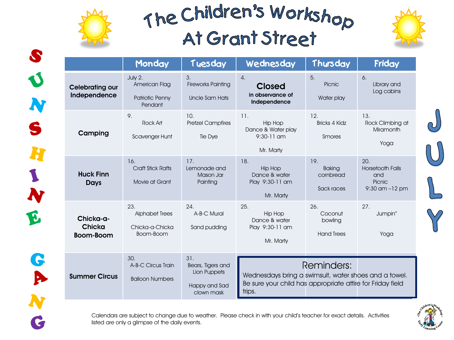



G

P

C

|                                         | Monday                                                       | Tuesday                                                                 | Wednesday                                                                                                                     | Thursday                                        | Friday                                                                |
|-----------------------------------------|--------------------------------------------------------------|-------------------------------------------------------------------------|-------------------------------------------------------------------------------------------------------------------------------|-------------------------------------------------|-----------------------------------------------------------------------|
| <b>Celebrating our</b><br>Independence  | July 2.<br>American Flag<br>Patriotic Penny<br>Pendant       | 3.<br><b>Fireworks Painting</b><br>Uncle Sam Hats                       | $\overline{4}$ .<br><b>Closed</b><br>in observance of<br>Independence                                                         | 5.<br>Picnic<br>Water play                      | 6.<br>Library and<br>Log cabins                                       |
| Camping                                 | 9.<br>Rock Art<br>Scavenger Hunt                             | 10.<br><b>Pretzel Campfires</b><br>Tie Dye                              | 11.<br><b>Hip Hop</b><br>Dance & Water play<br>$9:30-11$ am<br>Mr. Marty                                                      | 12.<br><b>Bricks 4 Kidz</b><br>Smores           | 13.<br>Rock Climbing at<br>Miramonth<br>Yoga                          |
| <b>Huck Finn</b><br>Days                | 16.<br><b>Craft Stick Rafts</b><br>Movie at Grant            | 17.<br>Lemonade and<br>Mason Jar<br>Painting                            | 18.<br>Hip Hop<br>Dance & water<br>Play 9:30-11 am<br>Mr. Marty                                                               | 19.<br><b>Baking</b><br>cornbread<br>Sack races | 20.<br><b>Horsetooth Falls</b><br>and<br>Picnic<br>$9:30$ am $-12$ pm |
| Chicka-a-<br>Chicka<br><b>Boom-Boom</b> | 23.<br><b>Alphabet Trees</b><br>Chicka-a-Chicka<br>Boom-Boom | 24.<br>A-B-C Mural<br>Sand pudding                                      | 25.<br><b>Hip Hop</b><br>Dance & water<br>Play 9:30-11 am<br>Mr. Marty                                                        | 26.<br>Coconut<br>bowling<br><b>Hand Trees</b>  | 27.<br>Jumpin"<br>Yoga                                                |
| <b>Summer Circus</b>                    | 30.<br>A-B-C Circus Train<br><b>Balloon Numbers</b>          | 31.<br>Bears, Tigers and<br>Lion Puppets<br>Happy and Sad<br>clown mask | Wednesdays bring a swimsuit, water shoes and a towel.<br>Be sure your child has appropriate attire for Friday field<br>trips. | Reminders:                                      |                                                                       |



Calendars are subject to change due to weather. Please check in with your child's teacher for exact details. Activities listed are only a glimpse of the daily events.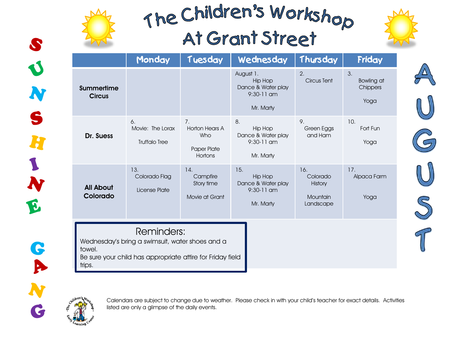



G

Þ

N

G

|                                                                                                                                                 | Monday                                         | Tuesday                                               | Wednesday                                                                      | Thursday                                            | Friday                                      |  |
|-------------------------------------------------------------------------------------------------------------------------------------------------|------------------------------------------------|-------------------------------------------------------|--------------------------------------------------------------------------------|-----------------------------------------------------|---------------------------------------------|--|
| Summertime<br><b>Circus</b>                                                                                                                     |                                                |                                                       | August 1.<br><b>Hip Hop</b><br>Dance & Water play<br>$9:30-11$ am<br>Mr. Marty | 2.<br>Circus Tent                                   | 3.<br><b>Bowling at</b><br>Chippers<br>Yoga |  |
| Dr. Suess                                                                                                                                       | 6.<br>Movie: The Lorax<br><b>Truffalo Tree</b> | 7.<br>Horton Hears A<br>Who<br>Paper Plate<br>Hortons | 8.<br>Hip Hop<br>Dance & Water play<br>9:30-11 am<br>Mr. Marty                 | 9.<br>Green Eggs<br>and Ham                         | 10.<br>Fort Fun<br>Yoga                     |  |
| <b>All About</b><br>Colorado                                                                                                                    | 13.<br>Colorado Flag<br>License Plate          | 14.<br>Campfire<br>Story time<br>Movie at Grant       | 15.<br><b>Hip Hop</b><br>Dance & Water play<br>9:30-11 am<br>Mr. Marty         | 16.<br>Colorado<br>History<br>Mountain<br>Landscape | 17.<br>Alpaca Farm<br>Yoga                  |  |
| Reminders:<br>Wednesday's bring a swimsuit, water shoes and a<br>towel.<br>Be sure your child has appropriate attire for Friday field<br>trips. |                                                |                                                       |                                                                                |                                                     |                                             |  |



Calendars are subject to change due to weather. Please check in with your child's teacher for exact details. Activities listed are only a glimpse of the daily events.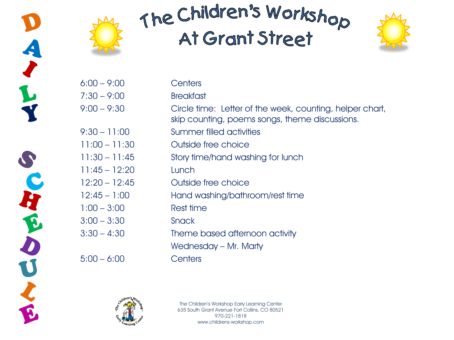





| $6:00 - 9:00$   | Centers                                                                                                    |
|-----------------|------------------------------------------------------------------------------------------------------------|
| $7:30 - 9:00$   | <b>Breakfast</b>                                                                                           |
| $9:00 - 9:30$   | Circle time: Letter of the week, counting, helper chart,<br>skip counting, poems songs, theme discussions. |
| $9:30 - 11:00$  | <b>Summer filled activities</b>                                                                            |
| $11:00 - 11:30$ | Outside free choice                                                                                        |
| $11:30 - 11:45$ | Story time/hand washing for lunch                                                                          |
| $11:45 - 12:20$ | Lunch                                                                                                      |
| $12:20 - 12:45$ | Outside free choice                                                                                        |
| $12:45 - 1:00$  | Hand washing/bathroom/rest time                                                                            |
| $1:00 - 3:00$   | Rest time                                                                                                  |
| $3:00 - 3:30$   | <b>Snack</b>                                                                                               |
| $3:30 - 4:30$   | Theme based afternoon activity                                                                             |
|                 | Wednesday - Mr. Marty                                                                                      |
| $5:00 - 6:00$   | Centers                                                                                                    |
|                 |                                                                                                            |



The Children's Workshop Early Learning Center 635 South Grant Avenue Fort Collins, CO 80521 970-221-1818 www.childrens-workshop.com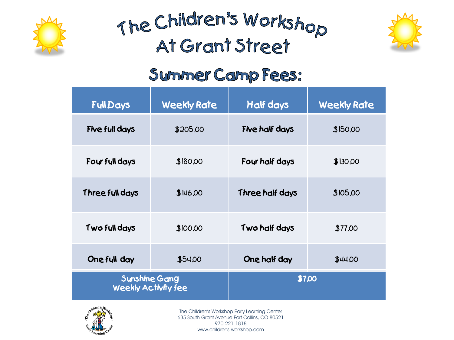





### Symmer Comp Fees:

| <b>Full Days</b> | <b>Weekly Rate</b>                                 | Half days       | <b>Weekly Rate</b> |  |
|------------------|----------------------------------------------------|-----------------|--------------------|--|
| Five full days   | \$205,00                                           | Five half days  | \$150,00           |  |
| Four full days   | \$180.00                                           | Four half days  | \$130,00           |  |
| Three full days  | \$146,00                                           | Three half days | \$105,00           |  |
| Two full days    | \$100.00                                           | Two half days   | \$77,00            |  |
| One full day     | \$54.00                                            | One half day    | \$44.00            |  |
|                  | <b>Sunshine Gang</b><br><b>Weekly Activity fee</b> | \$7,00          |                    |  |



The Children's Workshop Early Learning Center 635 South Grant Avenue Fort Collins, CO 80521 970-221-1818 www.childrens-workshop.com